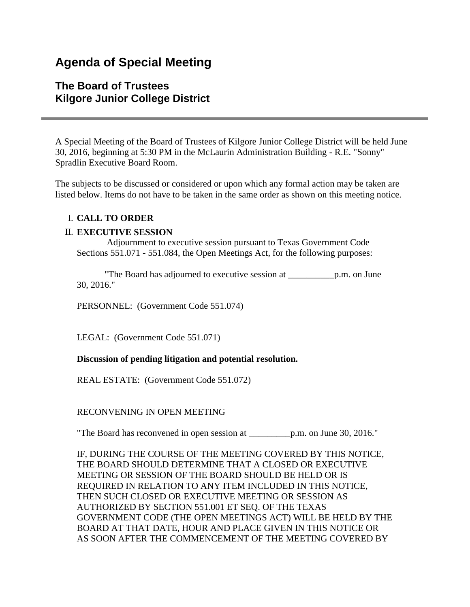# **Agenda of Special Meeting**

# **The Board of Trustees Kilgore Junior College District**

A Special Meeting of the Board of Trustees of Kilgore Junior College District will be held June 30, 2016, beginning at 5:30 PM in the McLaurin Administration Building - R.E. "Sonny" Spradlin Executive Board Room.

The subjects to be discussed or considered or upon which any formal action may be taken are listed below. Items do not have to be taken in the same order as shown on this meeting notice.

# I. **CALL TO ORDER**

# II. **EXECUTIVE SESSION**

 Adjournment to executive session pursuant to Texas Government Code Sections 551.071 - 551.084, the Open Meetings Act, for the following purposes:

 "The Board has adjourned to executive session at \_\_\_\_\_\_\_\_\_\_p.m. on June 30, 2016."

PERSONNEL: (Government Code 551.074)

LEGAL: (Government Code 551.071)

#### **Discussion of pending litigation and potential resolution.**

REAL ESTATE: (Government Code 551.072)

# RECONVENING IN OPEN MEETING

"The Board has reconvened in open session at \_\_\_\_\_\_\_\_\_p.m. on June 30, 2016."

IF, DURING THE COURSE OF THE MEETING COVERED BY THIS NOTICE, THE BOARD SHOULD DETERMINE THAT A CLOSED OR EXECUTIVE MEETING OR SESSION OF THE BOARD SHOULD BE HELD OR IS REQUIRED IN RELATION TO ANY ITEM INCLUDED IN THIS NOTICE, THEN SUCH CLOSED OR EXECUTIVE MEETING OR SESSION AS AUTHORIZED BY SECTION 551.001 ET SEQ. OF THE TEXAS GOVERNMENT CODE (THE OPEN MEETINGS ACT) WILL BE HELD BY THE BOARD AT THAT DATE, HOUR AND PLACE GIVEN IN THIS NOTICE OR AS SOON AFTER THE COMMENCEMENT OF THE MEETING COVERED BY